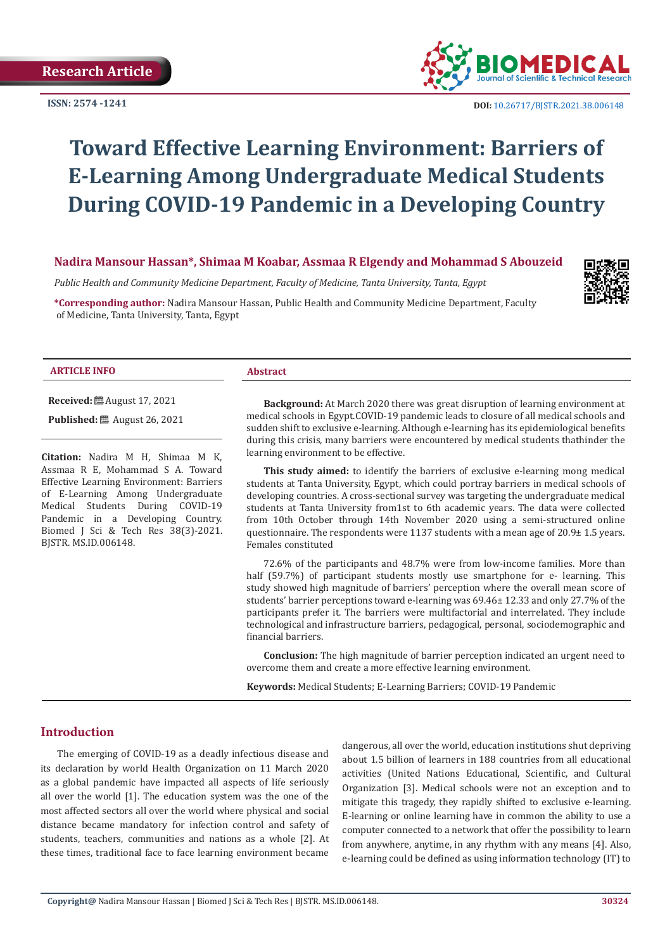

 **DOI:** [10.26717/BJSTR.2021.38.006148](https://dx.doi.org/10.26717/BJSTR.2021.38.006148)

# **Toward Effective Learning Environment: Barriers of E-Learning Among Undergraduate Medical Students During COVID-19 Pandemic in a Developing Country**

**Nadira Mansour Hassan\*, Shimaa M Koabar, Assmaa R Elgendy and Mohammad S Abouzeid**

*Public Health and Community Medicine Department, Faculty of Medicine, Tanta University, Tanta, Egypt*

**\*Corresponding author:** Nadira Mansour Hassan, Public Health and Community Medicine Department, Faculty of Medicine, Tanta University, Tanta, Egypt



#### **ARTICLE INFO Abstract**

**Received:** August 17, 2021

**Published:** ■ August 26, 2021

**Citation:** Nadira M H, Shimaa M K, Assmaa R E, Mohammad S A. Toward Effective Learning Environment: Barriers of E-Learning Among Undergraduate Medical Students During COVID-19 Pandemic in a Developing Country. Biomed J Sci & Tech Res 38(3)-2021. BJSTR. MS.ID.006148.

**Background:** At March 2020 there was great disruption of learning environment at medical schools in Egypt.COVID-19 pandemic leads to closure of all medical schools and sudden shift to exclusive e-learning. Although e-learning has its epidemiological benefits during this crisis, many barriers were encountered by medical students thathinder the learning environment to be effective.

**This study aimed:** to identify the barriers of exclusive e-learning mong medical students at Tanta University, Egypt, which could portray barriers in medical schools of developing countries. A cross-sectional survey was targeting the undergraduate medical students at Tanta University from1st to 6th academic years. The data were collected from 10th October through 14th November 2020 using a semi-structured online questionnaire. The respondents were 1137 students with a mean age of  $20.9\pm 1.5$  years. Females constituted

72.6% of the participants and 48.7% were from low-income families. More than half (59.7%) of participant students mostly use smartphone for e- learning. This study showed high magnitude of barriers' perception where the overall mean score of students' barrier perceptions toward e-learning was  $69.46 \pm 12.33$  and only 27.7% of the participants prefer it. The barriers were multifactorial and interrelated. They include technological and infrastructure barriers, pedagogical, personal, sociodemographic and financial barriers.

**Conclusion:** The high magnitude of barrier perception indicated an urgent need to overcome them and create a more effective learning environment.

**Keywords:** Medical Students; E-Learning Barriers; COVID-19 Pandemic

#### **Introduction**

The emerging of COVID-19 as a deadly infectious disease and its declaration by world Health Organization on 11 March 2020 as a global pandemic have impacted all aspects of life seriously all over the world [1]. The education system was the one of the most affected sectors all over the world where physical and social distance became mandatory for infection control and safety of students, teachers, communities and nations as a whole [2]. At these times, traditional face to face learning environment became

dangerous, all over the world, education institutions shut depriving about 1.5 billion of learners in 188 countries from all educational activities (United Nations Educational, Scientific, and Cultural Organization [3]. Medical schools were not an exception and to mitigate this tragedy, they rapidly shifted to exclusive e-learning. E-learning or online learning have in common the ability to use a computer connected to a network that offer the possibility to learn from anywhere, anytime, in any rhythm with any means [4]. Also, e-learning could be defined as using information technology (IT) to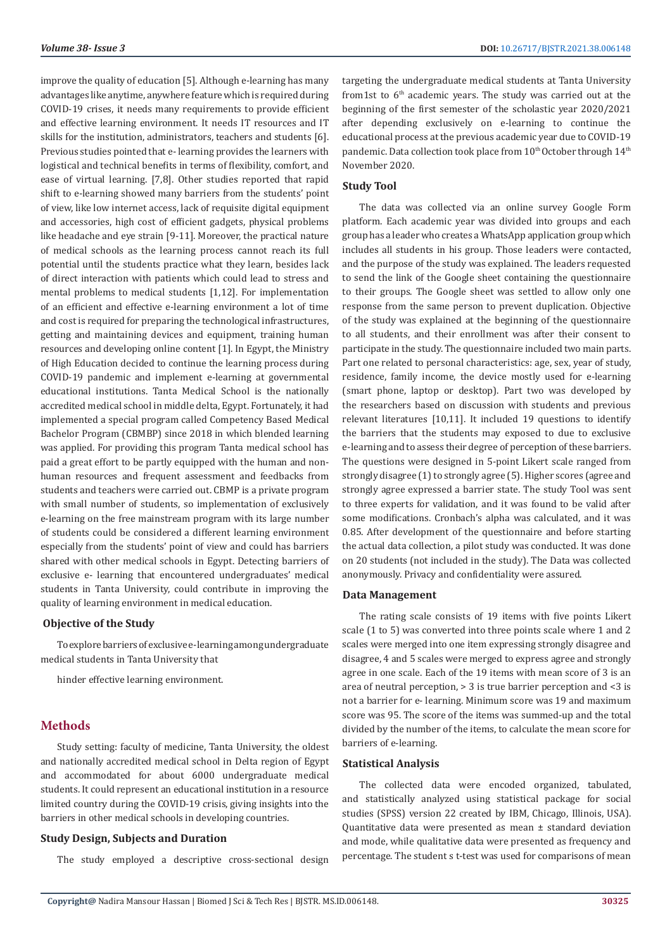improve the quality of education [5]. Although e-learning has many advantages like anytime, anywhere feature which is required during COVID-19 crises, it needs many requirements to provide efficient and effective learning environment. It needs IT resources and IT skills for the institution, administrators, teachers and students [6]. Previous studies pointed that e- learning provides the learners with logistical and technical benefits in terms of flexibility, comfort, and ease of virtual learning. [7,8]. Other studies reported that rapid shift to e-learning showed many barriers from the students' point of view, like low internet access, lack of requisite digital equipment and accessories, high cost of efficient gadgets, physical problems like headache and eye strain [9-11]. Moreover, the practical nature of medical schools as the learning process cannot reach its full potential until the students practice what they learn, besides lack of direct interaction with patients which could lead to stress and mental problems to medical students [1,12]. For implementation of an efficient and effective e-learning environment a lot of time and cost is required for preparing the technological infrastructures, getting and maintaining devices and equipment, training human resources and developing online content [1]. In Egypt, the Ministry of High Education decided to continue the learning process during COVID-19 pandemic and implement e-learning at governmental educational institutions. Tanta Medical School is the nationally accredited medical school in middle delta, Egypt. Fortunately, it had implemented a special program called Competency Based Medical Bachelor Program (CBMBP) since 2018 in which blended learning was applied. For providing this program Tanta medical school has paid a great effort to be partly equipped with the human and nonhuman resources and frequent assessment and feedbacks from students and teachers were carried out. CBMP is a private program with small number of students, so implementation of exclusively e-learning on the free mainstream program with its large number of students could be considered a different learning environment especially from the students' point of view and could has barriers shared with other medical schools in Egypt. Detecting barriers of exclusive e- learning that encountered undergraduates' medical students in Tanta University, could contribute in improving the quality of learning environment in medical education.

#### **Objective of the Study**

To explore barriers of exclusive e-learning among undergraduate medical students in Tanta University that

hinder effective learning environment.

#### **Methods**

Study setting: faculty of medicine, Tanta University, the oldest and nationally accredited medical school in Delta region of Egypt and accommodated for about 6000 undergraduate medical students. It could represent an educational institution in a resource limited country during the COVID-19 crisis, giving insights into the barriers in other medical schools in developing countries.

#### **Study Design, Subjects and Duration**

The study employed a descriptive cross-sectional design

targeting the undergraduate medical students at Tanta University from1st to  $6<sup>th</sup>$  academic years. The study was carried out at the beginning of the first semester of the scholastic year 2020/2021 after depending exclusively on e-learning to continue the educational process at the previous academic year due to COVID-19 pandemic. Data collection took place from  $10<sup>th</sup>$  October through  $14<sup>th</sup>$ November 2020.

#### **Study Tool**

The data was collected via an online survey Google Form platform. Each academic year was divided into groups and each group has a leader who creates a WhatsApp application group which includes all students in his group. Those leaders were contacted, and the purpose of the study was explained. The leaders requested to send the link of the Google sheet containing the questionnaire to their groups. The Google sheet was settled to allow only one response from the same person to prevent duplication. Objective of the study was explained at the beginning of the questionnaire to all students, and their enrollment was after their consent to participate in the study. The questionnaire included two main parts. Part one related to personal characteristics: age, sex, year of study, residence, family income, the device mostly used for e-learning (smart phone, laptop or desktop). Part two was developed by the researchers based on discussion with students and previous relevant literatures [10,11]. It included 19 questions to identify the barriers that the students may exposed to due to exclusive e-learning and to assess their degree of perception of these barriers. The questions were designed in 5-point Likert scale ranged from strongly disagree (1) to strongly agree (5). Higher scores (agree and strongly agree expressed a barrier state. The study Tool was sent to three experts for validation, and it was found to be valid after some modifications. Cronbach's alpha was calculated, and it was 0.85. After development of the questionnaire and before starting the actual data collection, a pilot study was conducted. It was done on 20 students (not included in the study). The Data was collected anonymously. Privacy and confidentiality were assured.

#### **Data Management**

The rating scale consists of 19 items with five points Likert scale (1 to 5) was converted into three points scale where 1 and 2 scales were merged into one item expressing strongly disagree and disagree, 4 and 5 scales were merged to express agree and strongly agree in one scale. Each of the 19 items with mean score of 3 is an area of neutral perception, > 3 is true barrier perception and <3 is not a barrier for e- learning. Minimum score was 19 and maximum score was 95. The score of the items was summed-up and the total divided by the number of the items, to calculate the mean score for barriers of e-learning.

#### **Statistical Analysis**

The collected data were encoded organized, tabulated, and statistically analyzed using statistical package for social studies (SPSS) version 22 created by IBM, Chicago, Illinois, USA). Quantitative data were presented as mean ± standard deviation and mode, while qualitative data were presented as frequency and percentage. The student s t-test was used for comparisons of mean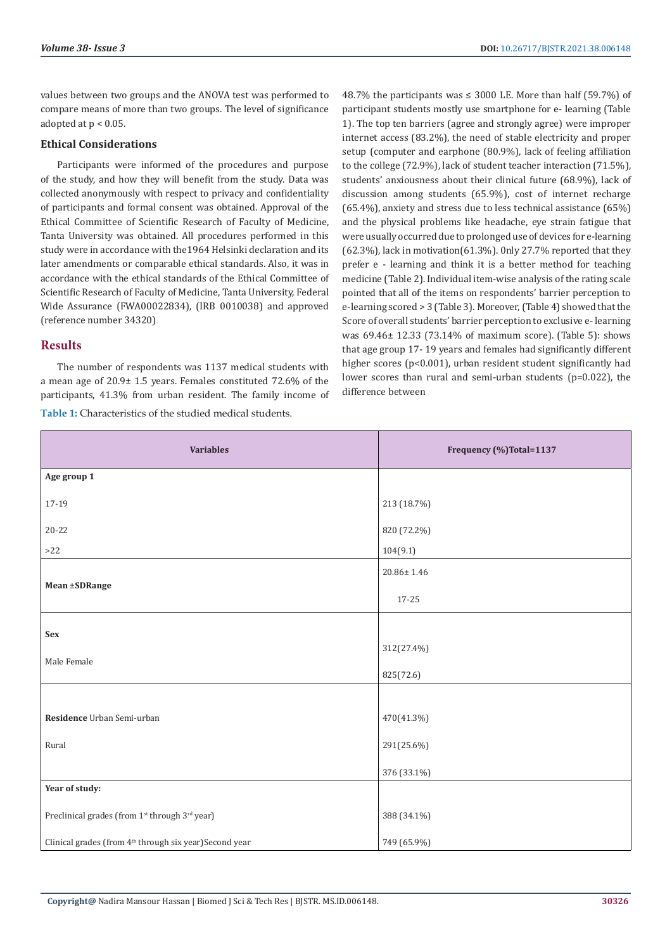values between two groups and the ANOVA test was performed to compare means of more than two groups. The level of significance adopted at p < 0.05.

#### **Ethical Considerations**

Participants were informed of the procedures and purpose of the study, and how they will benefit from the study. Data was collected anonymously with respect to privacy and confidentiality of participants and formal consent was obtained. Approval of the Ethical Committee of Scientific Research of Faculty of Medicine, Tanta University was obtained. All procedures performed in this study were in accordance with the1964 Helsinki declaration and its later amendments or comparable ethical standards. Also, it was in accordance with the ethical standards of the Ethical Committee of Scientific Research of Faculty of Medicine, Tanta University, Federal Wide Assurance (FWA00022834), (IRB 0010038) and approved (reference number 34320)

#### **Results**

The number of respondents was 1137 medical students with a mean age of 20.9± 1.5 years. Females constituted 72.6% of the participants, 41.3% from urban resident. The family income of **Table 1:** Characteristics of the studied medical students.

48.7% the participants was  $\leq$  3000 LE. More than half (59.7%) of participant students mostly use smartphone for e- learning (Table 1). The top ten barriers (agree and strongly agree) were improper internet access (83.2%), the need of stable electricity and proper setup (computer and earphone (80.9%), lack of feeling affiliation to the college (72.9%), lack of student teacher interaction (71.5%), students' anxiousness about their clinical future (68.9%), lack of discussion among students (65.9%), cost of internet recharge (65.4%), anxiety and stress due to less technical assistance (65%) and the physical problems like headache, eye strain fatigue that were usually occurred due to prolonged use of devices for e-learning (62.3%), lack in motivation(61.3%). 0nly 27.7% reported that they prefer e - learning and think it is a better method for teaching medicine (Table 2). Individual item-wise analysis of the rating scale pointed that all of the items on respondents' barrier perception to e-learning scored > 3 (Table 3). Moreover, (Table 4) showed that the Score of overall students' barrier perception to exclusive e- learning was 69.46± 12.33 (73.14% of maximum score). (Table 5): shows that age group 17- 19 years and females had significantly different higher scores (p<0.001), urban resident student significantly had lower scores than rural and semi-urban students (p=0.022), the difference between

| <b>Variables</b>                                                       | Frequency (%)Total=1137 |
|------------------------------------------------------------------------|-------------------------|
| Age group 1                                                            |                         |
| 17-19                                                                  | 213 (18.7%)             |
| $20 - 22$                                                              | 820 (72.2%)             |
| $>22$                                                                  | 104(9.1)                |
|                                                                        | $20.86 \pm 1.46$        |
| Mean ±SDRange                                                          | 17-25                   |
| Sex                                                                    |                         |
|                                                                        | 312(27.4%)              |
| Male Female                                                            | 825(72.6)               |
|                                                                        |                         |
| Residence Urban Semi-urban                                             | 470(41.3%)              |
| Rural                                                                  | 291(25.6%)              |
|                                                                        | 376 (33.1%)             |
| Year of study:                                                         |                         |
| Preclinical grades (from 1 <sup>st</sup> through 3 <sup>rd</sup> year) | 388 (34.1%)             |
| Clinical grades (from 4 <sup>th</sup> through six year)Second year     | 749 (65.9%)             |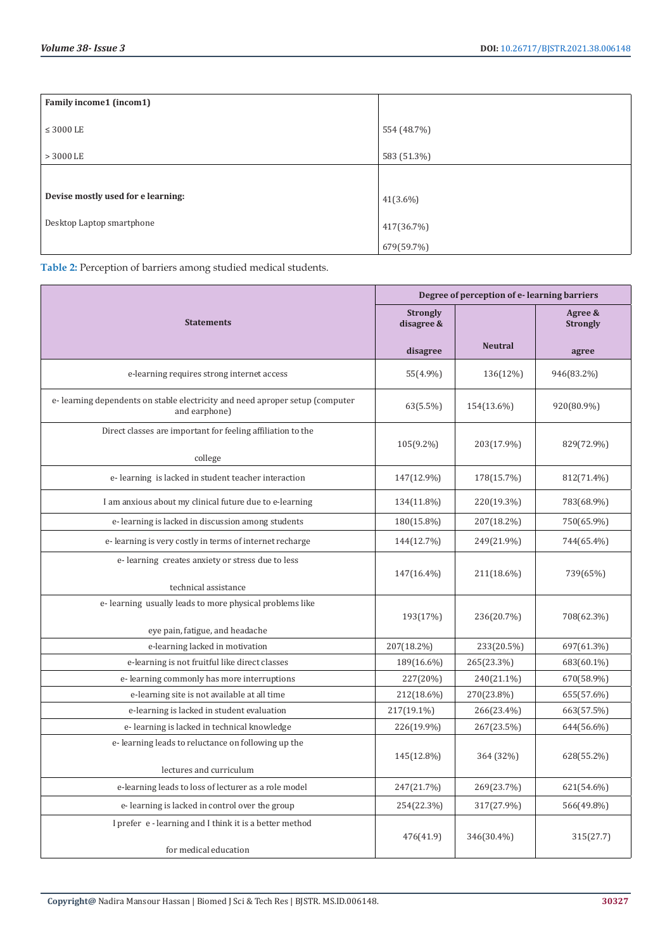| Family income1 (incom1)            |             |
|------------------------------------|-------------|
| $\leq$ 3000 LE                     | 554 (48.7%) |
| $>3000$ LE                         | 583 (51.3%) |
|                                    |             |
| Devise mostly used for e learning: | 41(3.6%)    |
| Desktop Laptop smartphone          | 417(36.7%)  |
|                                    | 679(59.7%)  |

**Table 2:** Perception of barriers among studied medical students.

|                                                                                               | Degree of perception of e-learning barriers |                |                            |  |
|-----------------------------------------------------------------------------------------------|---------------------------------------------|----------------|----------------------------|--|
| <b>Statements</b>                                                                             | <b>Strongly</b><br>disagree &               |                | Agree &<br><b>Strongly</b> |  |
|                                                                                               | disagree                                    | <b>Neutral</b> | agree                      |  |
| e-learning requires strong internet access                                                    | 55(4.9%)                                    | 136(12%)       | 946(83.2%)                 |  |
| e-learning dependents on stable electricity and need aproper setup (computer<br>and earphone) | 63(5.5%)                                    | 154(13.6%)     | 920(80.9%)                 |  |
| Direct classes are important for feeling affiliation to the<br>college                        | $105(9.2\%)$                                | 203(17.9%)     | 829(72.9%)                 |  |
| e-learning is lacked in student teacher interaction                                           | 147(12.9%)                                  | 178(15.7%)     | 812(71.4%)                 |  |
| I am anxious about my clinical future due to e-learning                                       | 134(11.8%)                                  | 220(19.3%)     | 783(68.9%)                 |  |
| e-learning is lacked in discussion among students                                             | 180(15.8%)                                  | 207(18.2%)     | 750(65.9%)                 |  |
| e-learning is very costly in terms of internet recharge                                       | 144(12.7%)                                  | 249(21.9%)     | 744(65.4%)                 |  |
| e-learning creates anxiety or stress due to less                                              | 147(16.4%)                                  | 211(18.6%)     | 739(65%)                   |  |
| technical assistance<br>e-learning usually leads to more physical problems like               |                                             |                |                            |  |
| eye pain, fatigue, and headache                                                               | 193(17%)                                    | 236(20.7%)     | 708(62.3%)                 |  |
| e-learning lacked in motivation                                                               | 207(18.2%)                                  | 233(20.5%)     | 697(61.3%)                 |  |
| e-learning is not fruitful like direct classes                                                | 189(16.6%)                                  | 265(23.3%)     | 683(60.1%)                 |  |
| e-learning commonly has more interruptions                                                    | 227(20%)                                    | 240(21.1%)     | 670(58.9%)                 |  |
| e-learning site is not available at all time                                                  | 212(18.6%)                                  | 270(23.8%)     | 655(57.6%)                 |  |
| e-learning is lacked in student evaluation                                                    | 217(19.1%)                                  | 266(23.4%)     | 663(57.5%)                 |  |
| e-learning is lacked in technical knowledge                                                   | 226(19.9%)                                  | 267(23.5%)     | 644(56.6%)                 |  |
| e-learning leads to reluctance on following up the<br>lectures and curriculum                 | 145(12.8%)                                  | 364 (32%)      | 628(55.2%)                 |  |
| e-learning leads to loss of lecturer as a role model                                          | 247(21.7%)                                  | 269(23.7%)     | 621(54.6%)                 |  |
| e-learning is lacked in control over the group                                                | 254(22.3%)                                  | 317(27.9%)     | 566(49.8%)                 |  |
| I prefer e - learning and I think it is a better method<br>for medical education              | 476(41.9)                                   | 346(30.4%)     | 315(27.7)                  |  |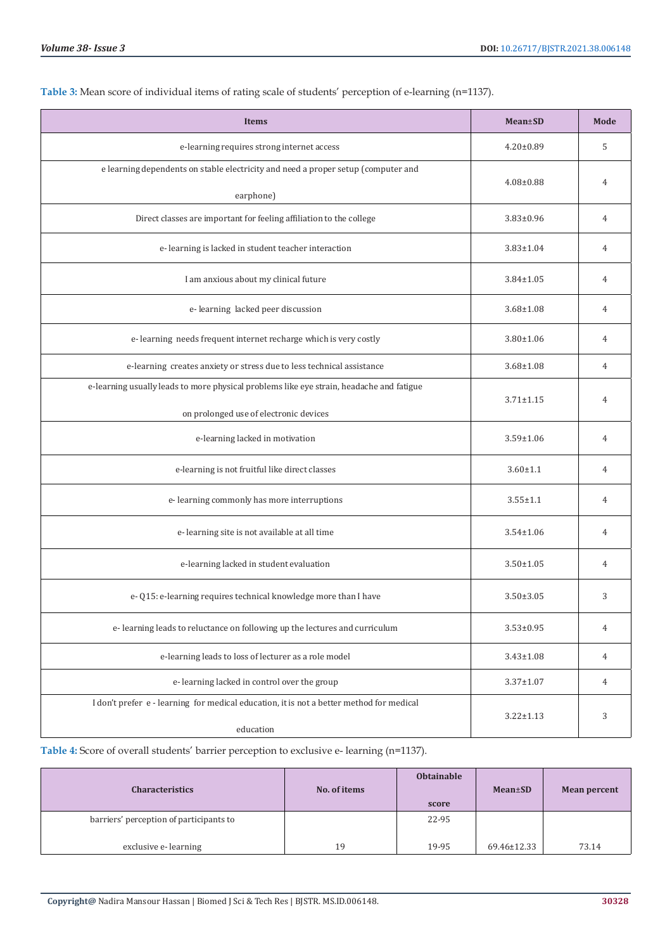| <b>Items</b>                                                                             | <b>Mean±SD</b>  | Mode           |
|------------------------------------------------------------------------------------------|-----------------|----------------|
| e-learning requires strong internet access                                               | $4.20 \pm 0.89$ | 5              |
| e learning dependents on stable electricity and need a proper setup (computer and        | $4.08 \pm 0.88$ |                |
| earphone)                                                                                |                 | $\overline{4}$ |
| Direct classes are important for feeling affiliation to the college                      | $3.83 \pm 0.96$ | 4              |
| e-learning is lacked in student teacher interaction                                      | $3.83 \pm 1.04$ | 4              |
| I am anxious about my clinical future                                                    | $3.84 \pm 1.05$ | $\overline{4}$ |
| e-learning lacked peer discussion                                                        | $3.68 \pm 1.08$ | 4              |
| e-learning needs frequent internet recharge which is very costly                         | $3.80 \pm 1.06$ | 4              |
| e-learning creates anxiety or stress due to less technical assistance                    | $3.68 \pm 1.08$ | 4              |
| e-learning usually leads to more physical problems like eye strain, headache and fatigue | $3.71 \pm 1.15$ | $\overline{4}$ |
| on prolonged use of electronic devices                                                   |                 |                |
| e-learning lacked in motivation                                                          | $3.59 \pm 1.06$ | 4              |
| e-learning is not fruitful like direct classes                                           | $3.60 \pm 1.1$  | 4              |
| e-learning commonly has more interruptions                                               | $3.55 \pm 1.1$  | 4              |
| e-learning site is not available at all time                                             | $3.54 \pm 1.06$ | 4              |
| e-learning lacked in student evaluation                                                  | $3.50 \pm 1.05$ | 4              |
| e- Q15: e-learning requires technical knowledge more than I have                         | $3.50 \pm 3.05$ | 3              |
| e-learning leads to reluctance on following up the lectures and curriculum               | $3.53 \pm 0.95$ | $\overline{4}$ |
| e-learning leads to loss of lecturer as a role model                                     | $3.43 \pm 1.08$ | $\overline{4}$ |
| e-learning lacked in control over the group                                              | $3.37 \pm 1.07$ | 4              |
| I don't prefer e - learning for medical education, it is not a better method for medical | $3.22 \pm 1.13$ | 3              |
| education                                                                                |                 |                |

**Table 3:** Mean score of individual items of rating scale of students' perception of e-learning (n=1137).

**Table 4:** Score of overall students' barrier perception to exclusive e- learning (n=1137).

| <b>Characteristics</b>                  | No. of items | <b>Obtainable</b> | $Mean \pm SD$ | Mean percent |
|-----------------------------------------|--------------|-------------------|---------------|--------------|
|                                         |              | score             |               |              |
| barriers' perception of participants to |              | 22-95             |               |              |
| exclusive e-learning                    | 19           | 19-95             | 69.46±12.33   | 73.14        |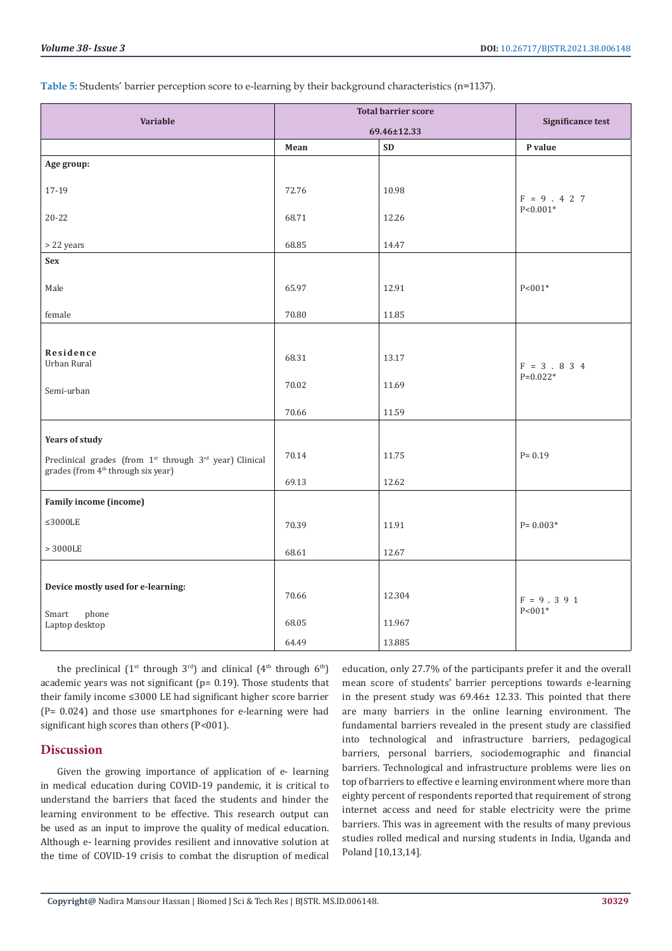**Table 5:** Students' barrier perception score to e-learning by their background characteristics (n=1137).

|                                                                                                                                                            | <b>Total barrier score</b> |                            | <b>Significance test</b>      |  |
|------------------------------------------------------------------------------------------------------------------------------------------------------------|----------------------------|----------------------------|-------------------------------|--|
| Variable                                                                                                                                                   | 69.46±12.33                |                            |                               |  |
|                                                                                                                                                            | Mean                       | <b>SD</b>                  | P value                       |  |
| Age group:                                                                                                                                                 |                            |                            |                               |  |
| 17-19                                                                                                                                                      | 72.76                      | 10.98                      | $F = 9.427$                   |  |
| $20 - 22$                                                                                                                                                  | 68.71                      | 12.26                      | $P < 0.001*$                  |  |
| > 22 years                                                                                                                                                 | 68.85                      | 14.47                      |                               |  |
| Sex                                                                                                                                                        |                            |                            |                               |  |
| Male                                                                                                                                                       | 65.97                      | 12.91                      | $P < 001*$                    |  |
| female                                                                                                                                                     | 70.80                      | 11.85                      |                               |  |
| Residence<br>Urban Rural<br>Semi-urban                                                                                                                     | 68.31<br>70.02<br>70.66    | 13.17<br>11.69<br>11.59    | $F = 3 . 8 3 4$<br>$P=0.022*$ |  |
| <b>Years of study</b><br>Preclinical grades (from 1 <sup>st</sup> through 3 <sup>rd</sup> year) Clinical<br>grades (from 4 <sup>th</sup> through six year) | 70.14<br>69.13             | 11.75<br>12.62             | $P = 0.19$                    |  |
| Family income (income)                                                                                                                                     |                            |                            |                               |  |
| $\leq$ 3000LE                                                                                                                                              | 70.39                      | 11.91                      | $P = 0.003*$                  |  |
| $>3000\mathrm{LE}$                                                                                                                                         | 68.61                      | 12.67                      |                               |  |
| Device mostly used for e-learning:<br>phone<br>Smart<br>Laptop desktop                                                                                     | 70.66<br>68.05<br>64.49    | 12.304<br>11.967<br>13.885 | $F = 9.391$<br>$P < 001*$     |  |
|                                                                                                                                                            |                            |                            |                               |  |

the preclinical  $(1^{st}$  through  $3^{rd}$ ) and clinical  $(4^{th}$  through  $6^{th}$ ) academic years was not significant (p= 0.19). Those students that their family income ≤3000 LE had significant higher score barrier (P= 0.024) and those use smartphones for e-learning were had significant high scores than others (P<001).

#### **Discussion**

Given the growing importance of application of e- learning in medical education during COVID-19 pandemic, it is critical to understand the barriers that faced the students and hinder the learning environment to be effective. This research output can be used as an input to improve the quality of medical education. Although e- learning provides resilient and innovative solution at the time of COVID-19 crisis to combat the disruption of medical

education, only 27.7% of the participants prefer it and the overall mean score of students' barrier perceptions towards e-learning in the present study was 69.46± 12.33. This pointed that there are many barriers in the online learning environment. The fundamental barriers revealed in the present study are classified into technological and infrastructure barriers, pedagogical barriers, personal barriers, sociodemographic and financial barriers. Technological and infrastructure problems were lies on top of barriers to effective e learning environment where more than eighty percent of respondents reported that requirement of strong internet access and need for stable electricity were the prime barriers. This was in agreement with the results of many previous studies rolled medical and nursing students in India, Uganda and Poland [10,13,14].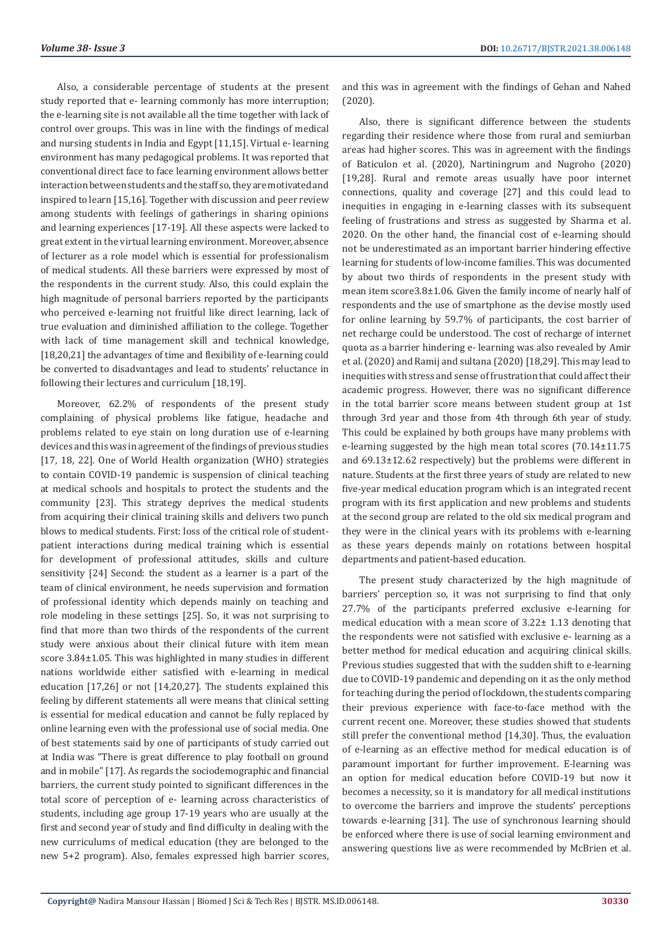Also, a considerable percentage of students at the present study reported that e- learning commonly has more interruption; the e-learning site is not available all the time together with lack of control over groups. This was in line with the findings of medical and nursing students in India and Egypt [11,15]. Virtual e- learning environment has many pedagogical problems. It was reported that conventional direct face to face learning environment allows better interaction between students and the staff so, they are motivated and inspired to learn [15,16]. Together with discussion and peer review among students with feelings of gatherings in sharing opinions and learning experiences [17-19]. All these aspects were lacked to great extent in the virtual learning environment. Moreover, absence of lecturer as a role model which is essential for professionalism of medical students. All these barriers were expressed by most of the respondents in the current study. Also, this could explain the high magnitude of personal barriers reported by the participants who perceived e-learning not fruitful like direct learning, lack of true evaluation and diminished affiliation to the college. Together with lack of time management skill and technical knowledge, [18,20,21] the advantages of time and flexibility of e-learning could be converted to disadvantages and lead to students' reluctance in following their lectures and curriculum [18,19].

Moreover, 62.2% of respondents of the present study complaining of physical problems like fatigue, headache and problems related to eye stain on long duration use of e-learning devices and this was in agreement of the findings of previous studies [17, 18, 22]. One of World Health organization (WHO) strategies to contain COVID-19 pandemic is suspension of clinical teaching at medical schools and hospitals to protect the students and the community [23]. This strategy deprives the medical students from acquiring their clinical training skills and delivers two punch blows to medical students. First: loss of the critical role of studentpatient interactions during medical training which is essential for development of professional attitudes, skills and culture sensitivity [24] Second: the student as a learner is a part of the team of clinical environment, he needs supervision and formation of professional identity which depends mainly on teaching and role modeling in these settings [25]. So, it was not surprising to find that more than two thirds of the respondents of the current study were anxious about their clinical future with item mean score 3.84±1.05. This was highlighted in many studies in different nations worldwide either satisfied with e-learning in medical education [17,26] or not [14,20,27]. The students explained this feeling by different statements all were means that clinical setting is essential for medical education and cannot be fully replaced by online learning even with the professional use of social media. One of best statements said by one of participants of study carried out at India was "There is great difference to play football on ground and in mobile" [17]. As regards the sociodemographic and financial barriers, the current study pointed to significant differences in the total score of perception of e- learning across characteristics of students, including age group 17-19 years who are usually at the first and second year of study and find difficulty in dealing with the new curriculums of medical education (they are belonged to the new 5+2 program). Also, females expressed high barrier scores,

and this was in agreement with the findings of Gehan and Nahed (2020).

Also, there is significant difference between the students regarding their residence where those from rural and semiurban areas had higher scores. This was in agreement with the findings of Baticulon et al. (2020), Nartiningrum and Nugroho (2020) [19,28]. Rural and remote areas usually have poor internet connections, quality and coverage [27] and this could lead to inequities in engaging in e-learning classes with its subsequent feeling of frustrations and stress as suggested by Sharma et al. 2020. On the other hand, the financial cost of e-learning should not be underestimated as an important barrier hindering effective learning for students of low-income families. This was documented by about two thirds of respondents in the present study with mean item score3.8±1.06. Given the family income of nearly half of respondents and the use of smartphone as the devise mostly used for online learning by 59.7% of participants, the cost barrier of net recharge could be understood. The cost of recharge of internet quota as a barrier hindering e- learning was also revealed by Amir et al. (2020) and Ramij and sultana (2020) [18,29]. This may lead to inequities with stress and sense of frustration that could affect their academic progress. However, there was no significant difference in the total barrier score means between student group at 1st through 3rd year and those from 4th through 6th year of study. This could be explained by both groups have many problems with e-learning suggested by the high mean total scores (70.14±11.75 and 69.13±12.62 respectively) but the problems were different in nature. Students at the first three years of study are related to new five-year medical education program which is an integrated recent program with its first application and new problems and students at the second group are related to the old six medical program and they were in the clinical years with its problems with e-learning as these years depends mainly on rotations between hospital departments and patient-based education.

The present study characterized by the high magnitude of barriers' perception so, it was not surprising to find that only 27.7% of the participants preferred exclusive e-learning for medical education with a mean score of 3.22± 1.13 denoting that the respondents were not satisfied with exclusive e- learning as a better method for medical education and acquiring clinical skills. Previous studies suggested that with the sudden shift to e-learning due to COVID-19 pandemic and depending on it as the only method for teaching during the period of lockdown, the students comparing their previous experience with face-to-face method with the current recent one. Moreover, these studies showed that students still prefer the conventional method [14,30]. Thus, the evaluation of e-learning as an effective method for medical education is of paramount important for further improvement. E-learning was an option for medical education before COVID-19 but now it becomes a necessity, so it is mandatory for all medical institutions to overcome the barriers and improve the students' perceptions towards e-learning [31]. The use of synchronous learning should be enforced where there is use of social learning environment and answering questions live as were recommended by McBrien et al.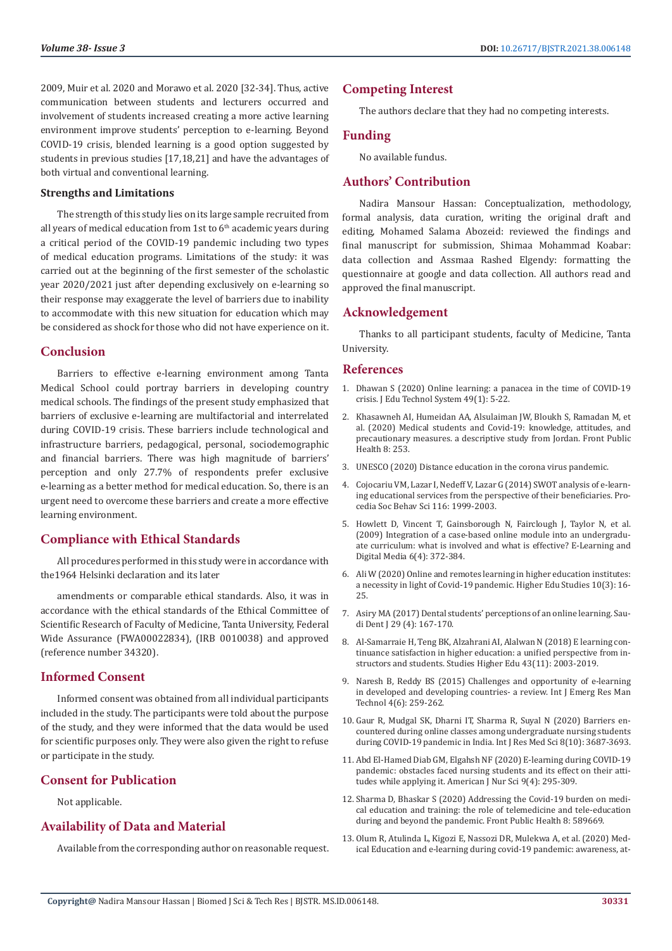2009, Muir et al. 2020 and Morawo et al. 2020 [32-34]. Thus, active communication between students and lecturers occurred and involvement of students increased creating a more active learning environment improve students' perception to e-learning. Beyond COVID-19 crisis, blended learning is a good option suggested by students in previous studies [17,18,21] and have the advantages of both virtual and conventional learning.

#### **Strengths and Limitations**

The strength of this study lies on its large sample recruited from all years of medical education from 1st to  $6<sup>th</sup>$  academic years during a critical period of the COVID-19 pandemic including two types of medical education programs. Limitations of the study: it was carried out at the beginning of the first semester of the scholastic year 2020/2021 just after depending exclusively on e-learning so their response may exaggerate the level of barriers due to inability to accommodate with this new situation for education which may be considered as shock for those who did not have experience on it.

#### **Conclusion**

Barriers to effective e-learning environment among Tanta Medical School could portray barriers in developing country medical schools. The findings of the present study emphasized that barriers of exclusive e-learning are multifactorial and interrelated during COVID-19 crisis. These barriers include technological and infrastructure barriers, pedagogical, personal, sociodemographic and financial barriers. There was high magnitude of barriers' perception and only 27.7% of respondents prefer exclusive e-learning as a better method for medical education. So, there is an urgent need to overcome these barriers and create a more effective learning environment.

# **Compliance with Ethical Standards**

All procedures performed in this study were in accordance with the1964 Helsinki declaration and its later

amendments or comparable ethical standards. Also, it was in accordance with the ethical standards of the Ethical Committee of Scientific Research of Faculty of Medicine, Tanta University, Federal Wide Assurance (FWA00022834), (IRB 0010038) and approved (reference number 34320).

# **Informed Consent**

Informed consent was obtained from all individual participants included in the study. The participants were told about the purpose of the study, and they were informed that the data would be used for scientific purposes only. They were also given the right to refuse or participate in the study.

# **Consent for Publication**

Not applicable.

# **Availability of Data and Material**

Available from the corresponding author on reasonable request.

# **Competing Interest**

The authors declare that they had no competing interests.

# **Funding**

No available fundus.

# **Authors' Contribution**

Nadira Mansour Hassan: Conceptualization, methodology, formal analysis, data curation, writing the original draft and editing, Mohamed Salama Abozeid: reviewed the findings and final manuscript for submission, Shimaa Mohammad Koabar: data collection and Assmaa Rashed Elgendy: formatting the questionnaire at google and data collection. All authors read and approved the final manuscript.

# **Acknowledgement**

Thanks to all participant students, faculty of Medicine, Tanta University.

#### **References**

- 1. [Dhawan S \(2020\) Online learning: a panacea in the time of COVID-19](https://journals.sagepub.com/doi/full/10.1177/0047239520934018) [crisis. J Edu Technol System 49\(1\): 5-22.](https://journals.sagepub.com/doi/full/10.1177/0047239520934018)
- 2. [Khasawneh AI, Humeidan AA, Alsulaiman JW, Bloukh S, Ramadan M, et](https://www.ncbi.nlm.nih.gov/pmc/articles/PMC7274076/) [al. \(2020\) Medical students and Covid-19: knowledge, attitudes, and](https://www.ncbi.nlm.nih.gov/pmc/articles/PMC7274076/) [precautionary measures. a descriptive study from Jordan. Front Public](https://www.ncbi.nlm.nih.gov/pmc/articles/PMC7274076/) [Health 8: 253.](https://www.ncbi.nlm.nih.gov/pmc/articles/PMC7274076/)
- 3. UNESCO (2020) Distance education in the corona virus pandemic.
- 4. [Cojocariu VM, Lazar I, Nedeff V, Lazar G \(2014\) SWOT analysis of e-learn](https://www.sciencedirect.com/science/article/pii/S1877042814005278)[ing educational services from the perspective of their beneficiaries. Pro](https://www.sciencedirect.com/science/article/pii/S1877042814005278)[cedia Soc Behav Sci 116: 1999-2003.](https://www.sciencedirect.com/science/article/pii/S1877042814005278)
- 5. [Howlett D, Vincent T, Gainsborough N, Fairclough J, Taylor N, et al.](https://journals.sagepub.com/doi/abs/10.2304/elea.2009.6.4.372) [\(2009\) Integration of a case-based online module into an undergradu](https://journals.sagepub.com/doi/abs/10.2304/elea.2009.6.4.372)[ate curriculum: what is involved and what is effective? E-Learning and](https://journals.sagepub.com/doi/abs/10.2304/elea.2009.6.4.372) [Digital Media 6\(4\): 372-384](https://journals.sagepub.com/doi/abs/10.2304/elea.2009.6.4.372).
- 6. [Ali W \(2020\) Online and remotes learning in higher education institutes:](https://www.ccsenet.org/journal/index.php/hes/article/view/0/42784) [a necessity in light of Covid-19 pandemic. Higher Edu Studies 10\(3\): 16-](https://www.ccsenet.org/journal/index.php/hes/article/view/0/42784) [25.](https://www.ccsenet.org/journal/index.php/hes/article/view/0/42784)
- 7. [Asiry MA \(2017\) Dental students' perceptions of an online learning. Sau](https://www.ncbi.nlm.nih.gov/pmc/articles/PMC5634796/)[di Dent J 29 \(4\): 167-170.](https://www.ncbi.nlm.nih.gov/pmc/articles/PMC5634796/)
- 8. [Al-Samarraie H, Teng BK, Alzahrani AI, Alalwan N \(2018\) E learning con](https://eric.ed.gov/?id=EJ1197199)[tinuance satisfaction in higher education: a unified perspective from in](https://eric.ed.gov/?id=EJ1197199)[structors and students. Studies Higher Edu 43\(11\): 2003-2019.](https://eric.ed.gov/?id=EJ1197199)
- 9. [Naresh B, Reddy BS \(2015\) Challenges and opportunity of e-learning](https://www.researchgate.net/publication/282286273_Challenges_and_Opportunity_of_E-Learning_in_Developed_and_Developing_Countries-A_Review) [in developed and developing countries- a review. Int J Emerg Res Man](https://www.researchgate.net/publication/282286273_Challenges_and_Opportunity_of_E-Learning_in_Developed_and_Developing_Countries-A_Review) [Technol 4\(6\): 259-262.](https://www.researchgate.net/publication/282286273_Challenges_and_Opportunity_of_E-Learning_in_Developed_and_Developing_Countries-A_Review)
- 10. [Gaur R, Mudgal SK, Dharni IT, Sharma R, Suyal N \(2020\) Barriers en](https://www.msjonline.org/index.php/ijrms/article/view/8836)[countered during online classes among undergraduate nursing students](https://www.msjonline.org/index.php/ijrms/article/view/8836) [during COVID-19 pandemic in India. Int J Res Med Sci 8\(10\): 3687-3693.](https://www.msjonline.org/index.php/ijrms/article/view/8836)
- 11. [Abd El-Hamed Diab GM, Elgahsh NF \(2020\) E-learning during COVID-19](http://www.sciencepublishinggroup.com/journal/paperinfo?journalid=152&doi=10.11648/j.ajns.20200904.33) [pandemic: obstacles faced nursing students and its effect on their atti](http://www.sciencepublishinggroup.com/journal/paperinfo?journalid=152&doi=10.11648/j.ajns.20200904.33)[tudes while applying it. American J Nur Sci 9\(4\): 295-309.](http://www.sciencepublishinggroup.com/journal/paperinfo?journalid=152&doi=10.11648/j.ajns.20200904.33)
- 12. [Sharma D, Bhaskar S \(2020\) Addressing the Covid-19 burden on medi](https://pubmed.ncbi.nlm.nih.gov/33330333/)[cal education and training: the role of telemedicine and tele-education](https://pubmed.ncbi.nlm.nih.gov/33330333/) [during and beyond the pandemic. Front Public Health 8: 589669.](https://pubmed.ncbi.nlm.nih.gov/33330333/)
- 13. [Olum R, Atulinda L, Kigozi E, Nassozi DR, Mulekwa A, et al. \(2020\) Med](https://journals.sagepub.com/doi/full/10.1177/2382120520973212)[ical Education and e-learning during covid-19 pandemic: awareness, at-](https://journals.sagepub.com/doi/full/10.1177/2382120520973212)